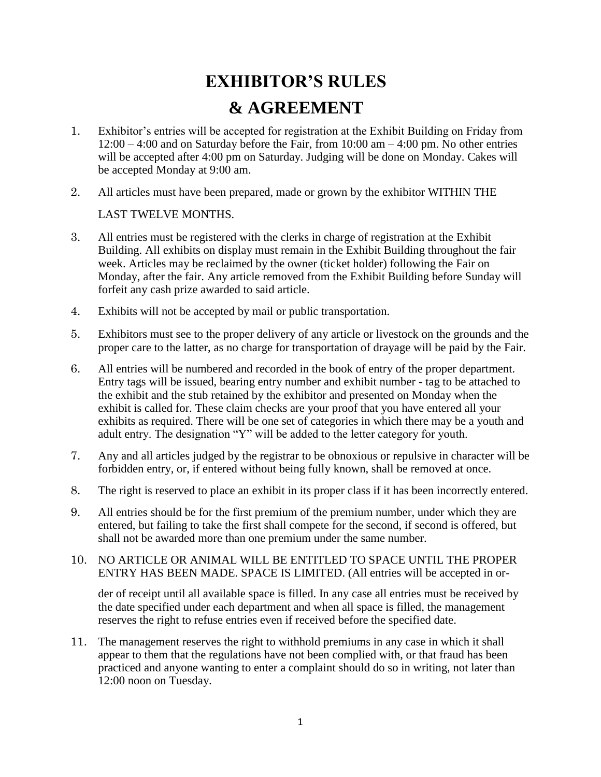## **EXHIBITOR'S RULES & AGREEMENT**

- 1. Exhibitor's entries will be accepted for registration at the Exhibit Building on Friday from  $12:00 - 4:00$  and on Saturday before the Fair, from  $10:00$  am  $- 4:00$  pm. No other entries will be accepted after 4:00 pm on Saturday. Judging will be done on Monday. Cakes will be accepted Monday at 9:00 am.
- 2. All articles must have been prepared, made or grown by the exhibitor WITHIN THE

## LAST TWELVE MONTHS.

- 3. All entries must be registered with the clerks in charge of registration at the Exhibit Building. All exhibits on display must remain in the Exhibit Building throughout the fair week. Articles may be reclaimed by the owner (ticket holder) following the Fair on Monday, after the fair. Any article removed from the Exhibit Building before Sunday will forfeit any cash prize awarded to said article.
- 4. Exhibits will not be accepted by mail or public transportation.
- 5. Exhibitors must see to the proper delivery of any article or livestock on the grounds and the proper care to the latter, as no charge for transportation of drayage will be paid by the Fair.
- 6. All entries will be numbered and recorded in the book of entry of the proper department. Entry tags will be issued, bearing entry number and exhibit number - tag to be attached to the exhibit and the stub retained by the exhibitor and presented on Monday when the exhibit is called for. These claim checks are your proof that you have entered all your exhibits as required. There will be one set of categories in which there may be a youth and adult entry. The designation "Y" will be added to the letter category for youth.
- 7. Any and all articles judged by the registrar to be obnoxious or repulsive in character will be forbidden entry, or, if entered without being fully known, shall be removed at once.
- 8. The right is reserved to place an exhibit in its proper class if it has been incorrectly entered.
- 9. All entries should be for the first premium of the premium number, under which they are entered, but failing to take the first shall compete for the second, if second is offered, but shall not be awarded more than one premium under the same number.
- 10. NO ARTICLE OR ANIMAL WILL BE ENTITLED TO SPACE UNTIL THE PROPER ENTRY HAS BEEN MADE. SPACE IS LIMITED. (All entries will be accepted in or-

der of receipt until all available space is filled. In any case all entries must be received by the date specified under each department and when all space is filled, the management reserves the right to refuse entries even if received before the specified date.

11. The management reserves the right to withhold premiums in any case in which it shall appear to them that the regulations have not been complied with, or that fraud has been practiced and anyone wanting to enter a complaint should do so in writing, not later than 12:00 noon on Tuesday.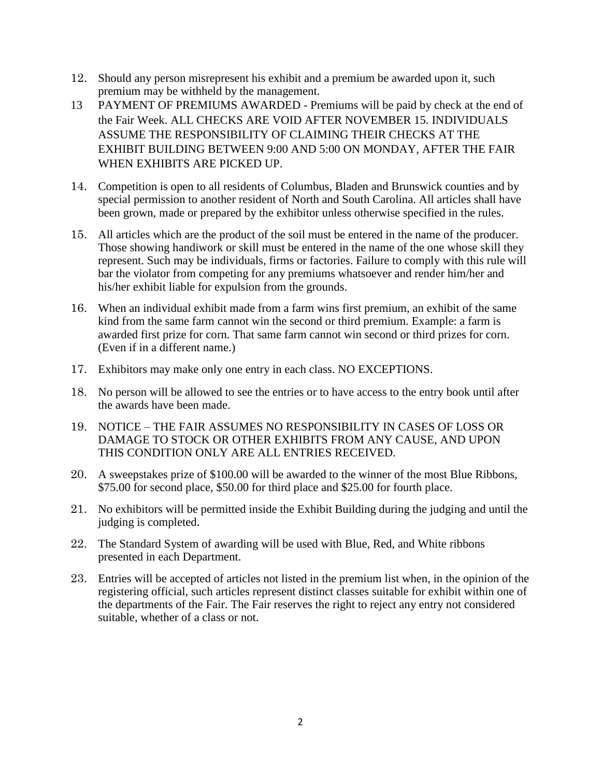- 12. Should any person misrepresent his exhibit and a premium be awarded upon it, such premium may be withheld by the management.
- 13 PAYMENT OF PREMIUMS AWARDED Premiums will be paid by check at the end of the Fair Week. ALL CHECKS ARE VOID AFTER NOVEMBER 15. INDIVIDUALS ASSUME THE RESPONSIBILITY OF CLAIMING THEIR CHECKS AT THE EXHIBIT BUILDING BETWEEN 9:00 AND 5:00 ON MONDAY, AFTER THE FAIR WHEN EXHIBITS ARE PICKED UP.
- 14. Competition is open to all residents of Columbus, Bladen and Brunswick counties and by special permission to another resident of North and South Carolina. All articles shall have been grown, made or prepared by the exhibitor unless otherwise specified in the rules.
- 15. All articles which are the product of the soil must be entered in the name of the producer. Those showing handiwork or skill must be entered in the name of the one whose skill they represent. Such may be individuals, firms or factories. Failure to comply with this rule will bar the violator from competing for any premiums whatsoever and render him/her and his/her exhibit liable for expulsion from the grounds.
- 16. When an individual exhibit made from a farm wins first premium, an exhibit of the same kind from the same farm cannot win the second or third premium. Example: a farm is awarded first prize for corn. That same farm cannot win second or third prizes for corn. (Even if in a different name.)
- 17. Exhibitors may make only one entry in each class. NO EXCEPTIONS.
- 18. No person will be allowed to see the entries or to have access to the entry book until after the awards have been made.
- 19. NOTICE THE FAIR ASSUMES NO RESPONSIBILITY IN CASES OF LOSS OR DAMAGE TO STOCK OR OTHER EXHIBITS FROM ANY CAUSE, AND UPON THIS CONDITION ONLY ARE ALL ENTRIES RECEIVED.
- 20. A sweepstakes prize of \$100.00 will be awarded to the winner of the most Blue Ribbons, \$75.00 for second place, \$50.00 for third place and \$25.00 for fourth place.
- 21. No exhibitors will be permitted inside the Exhibit Building during the judging and until the judging is completed.
- 22. The Standard System of awarding will be used with Blue, Red, and White ribbons presented in each Department.
- 23. Entries will be accepted of articles not listed in the premium list when, in the opinion of the registering official, such articles represent distinct classes suitable for exhibit within one of the departments of the Fair. The Fair reserves the right to reject any entry not considered suitable, whether of a class or not.